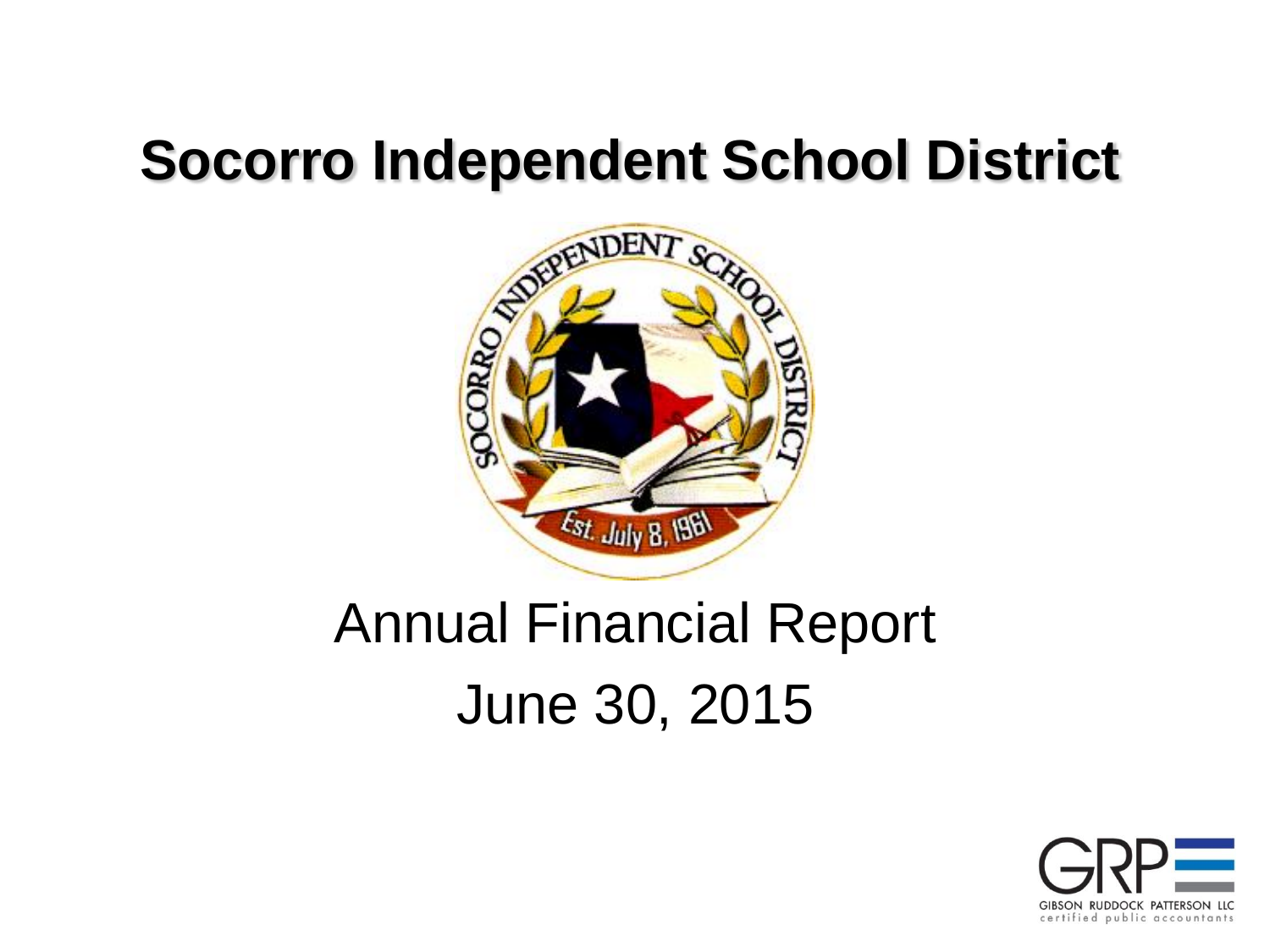

### Annual Financial Report June 30, 2015

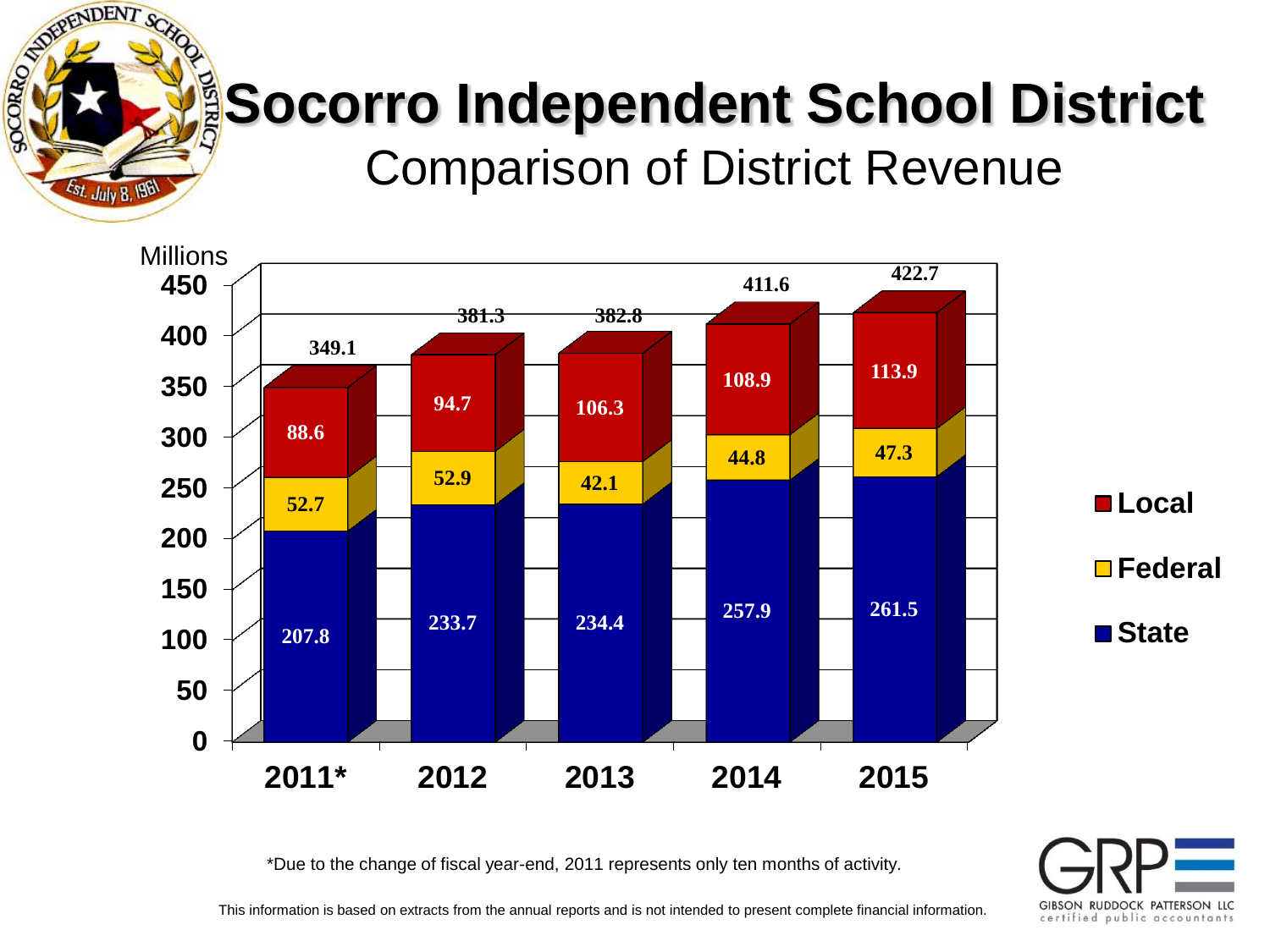# **Socorro Independent School District** Comparison of District Revenue

FIPENDENT SC

Est. July 8, 196

SOCORRO DE



\*Due to the change of fiscal year-end, 2011 represents only ten months of activity.

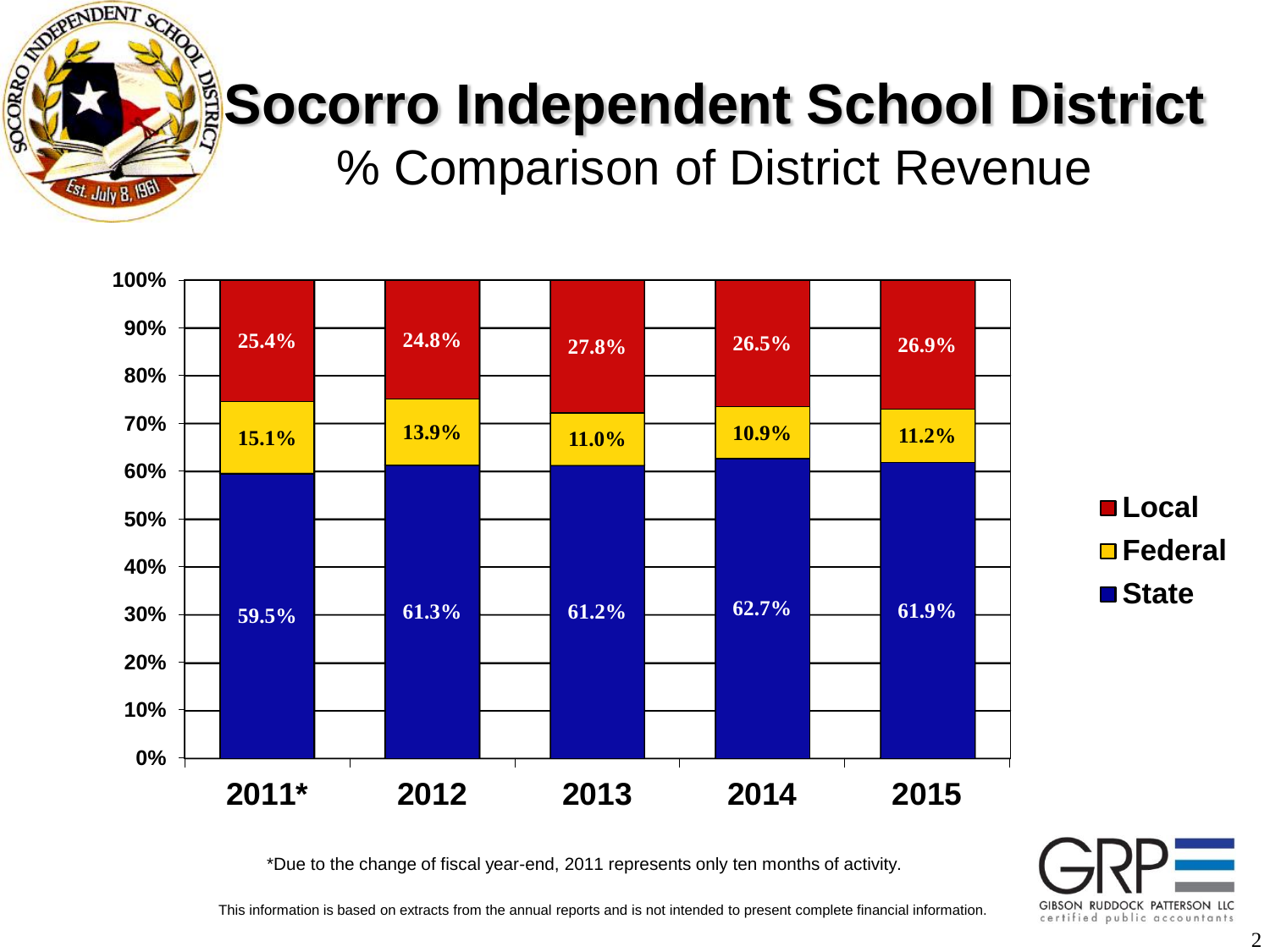

% Comparison of District Revenue



\*Due to the change of fiscal year-end, 2011 represents only ten months of activity.

GIBSON RUDDOCK PATTERSON LLC certified public accountants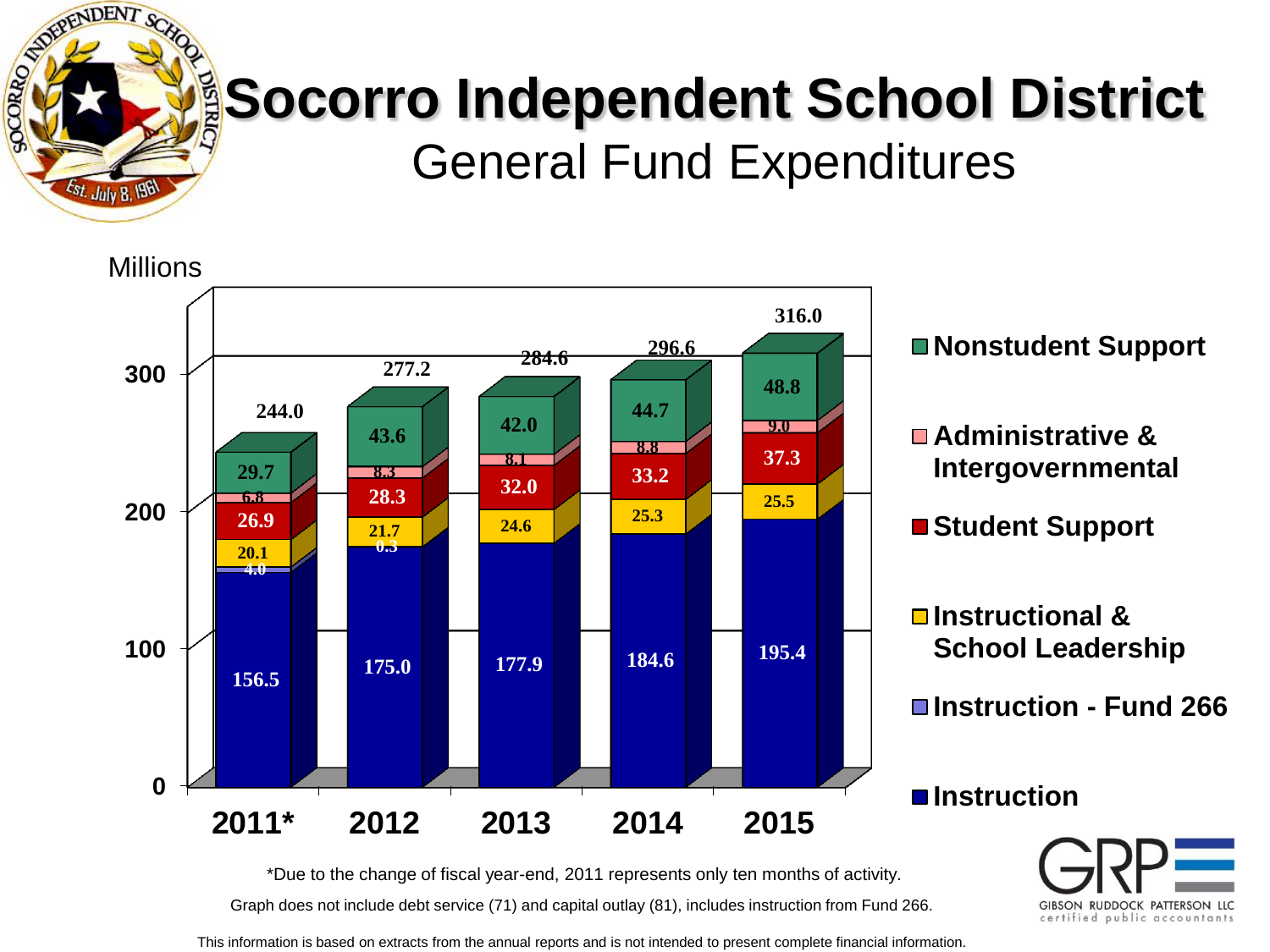

#### **Socorro Independent School District** General Fund Expenditures



GIBSON RUDDOCK PATTERSON LLC certified public accountants

Graph does not include debt service (71) and capital outlay (81), includes instruction from Fund 266. \*Due to the change of fiscal year-end, 2011 represents only ten months of activity.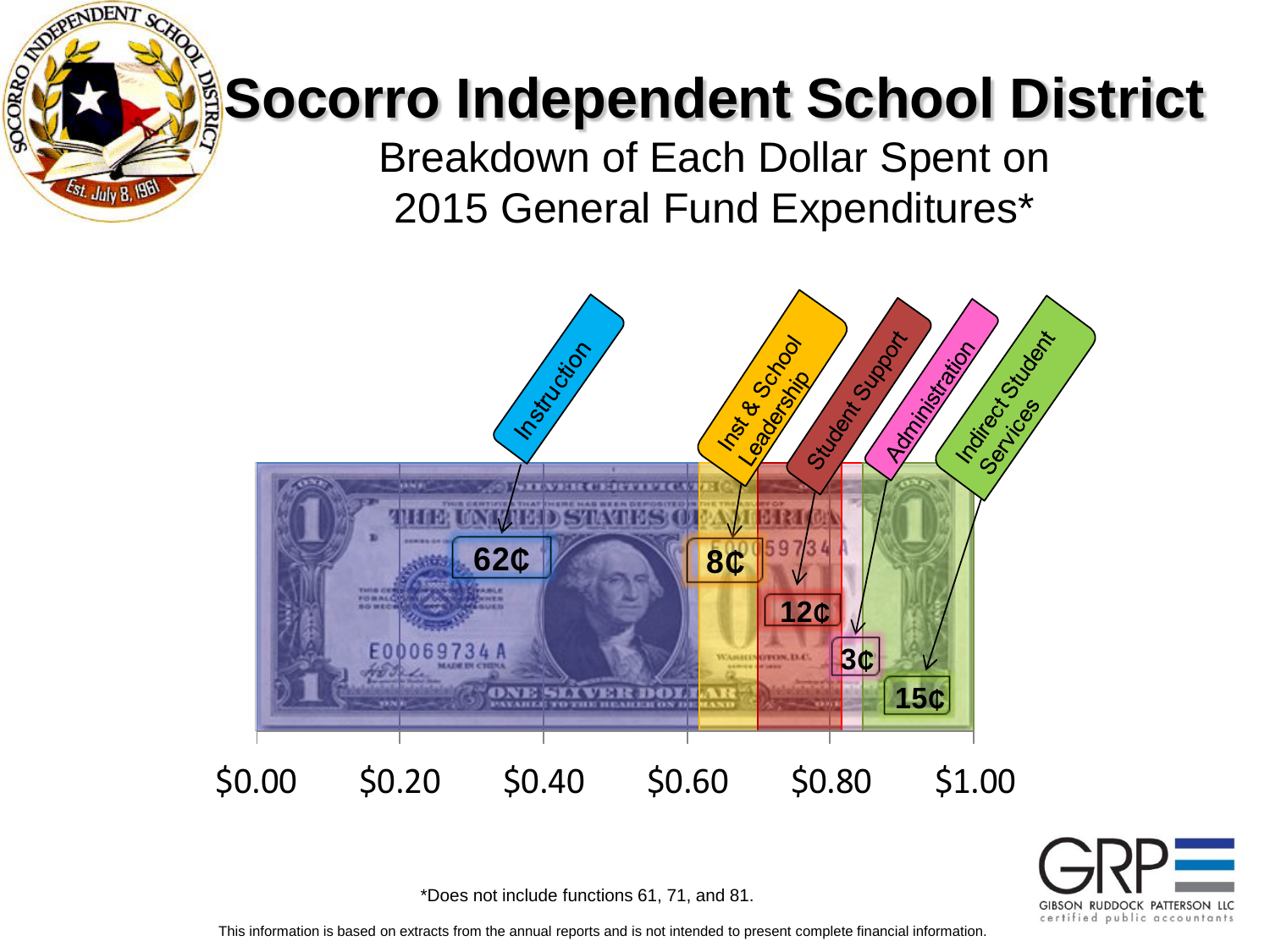**EPENDENT SC** 

Est. July 8, 196

SOCORRO

Breakdown of Each Dollar Spent on 2015 General Fund Expenditures\*





\*Does not include functions 61, 71, and 81.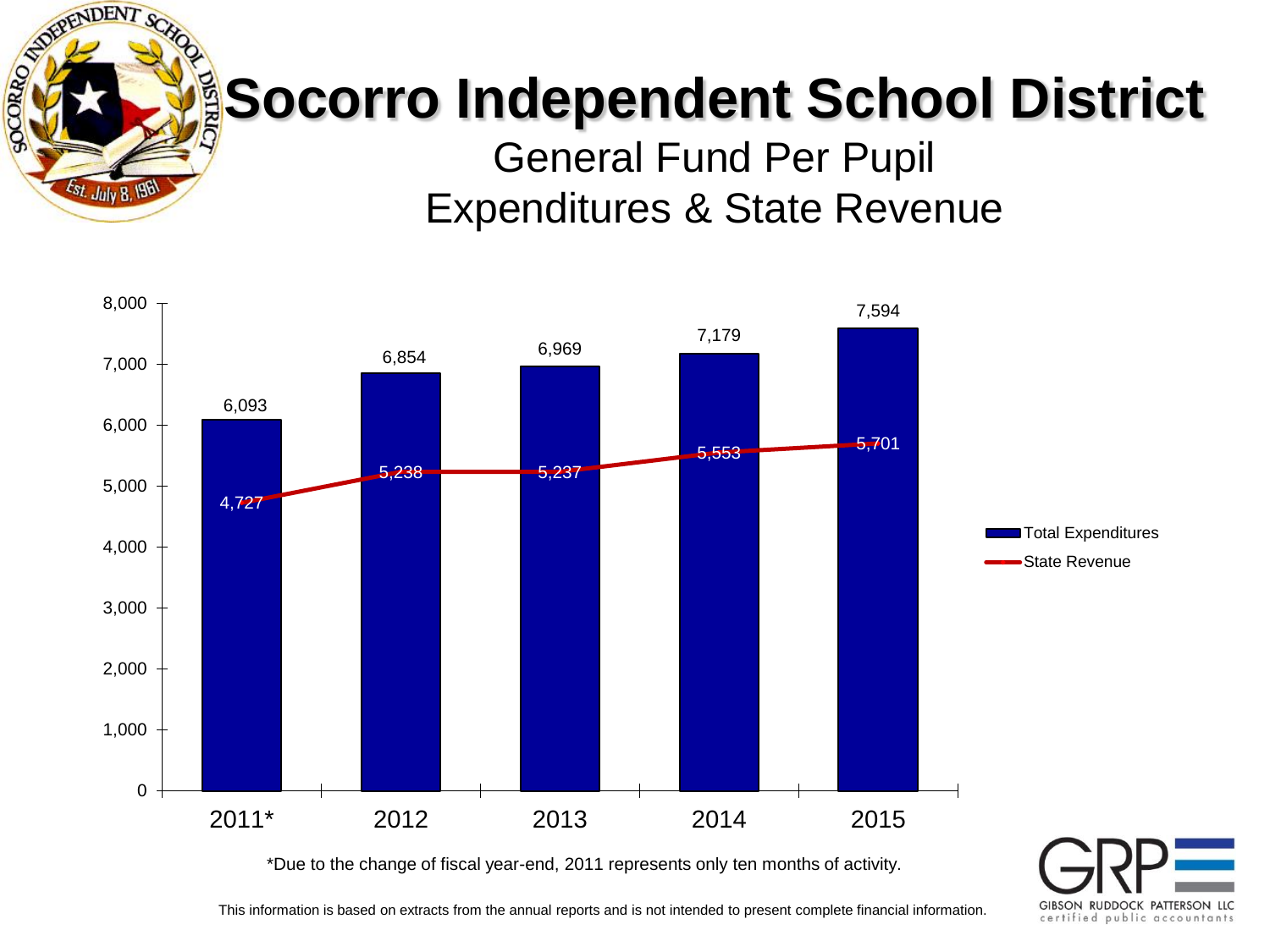

General Fund Per Pupil Expenditures & State Revenue



GIBSON RUDDOCK PATTERSON LLC certified public accountants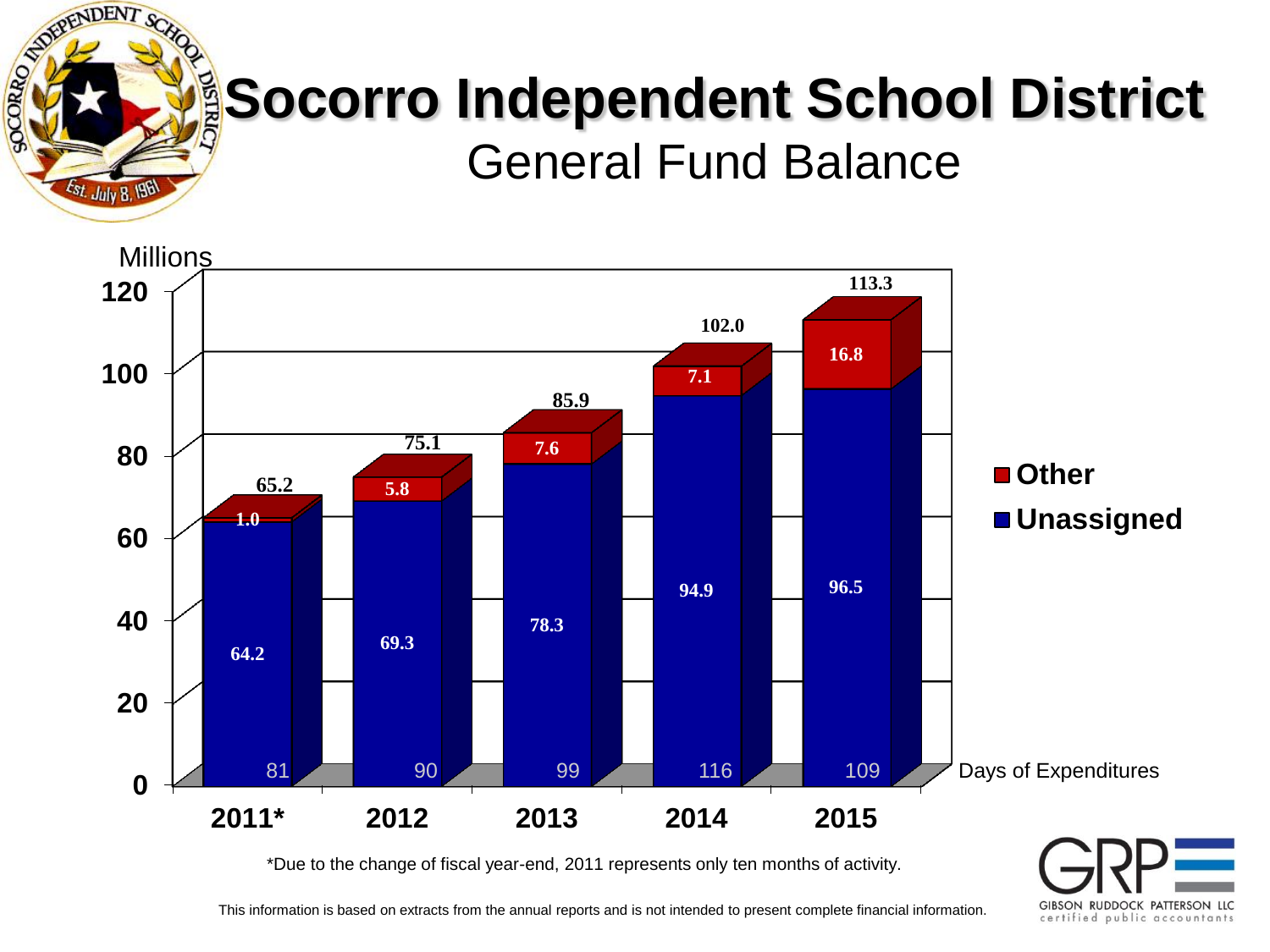

#### **Socorro Independent School District** General Fund Balance



\*Due to the change of fiscal year-end, 2011 represents only ten months of activity.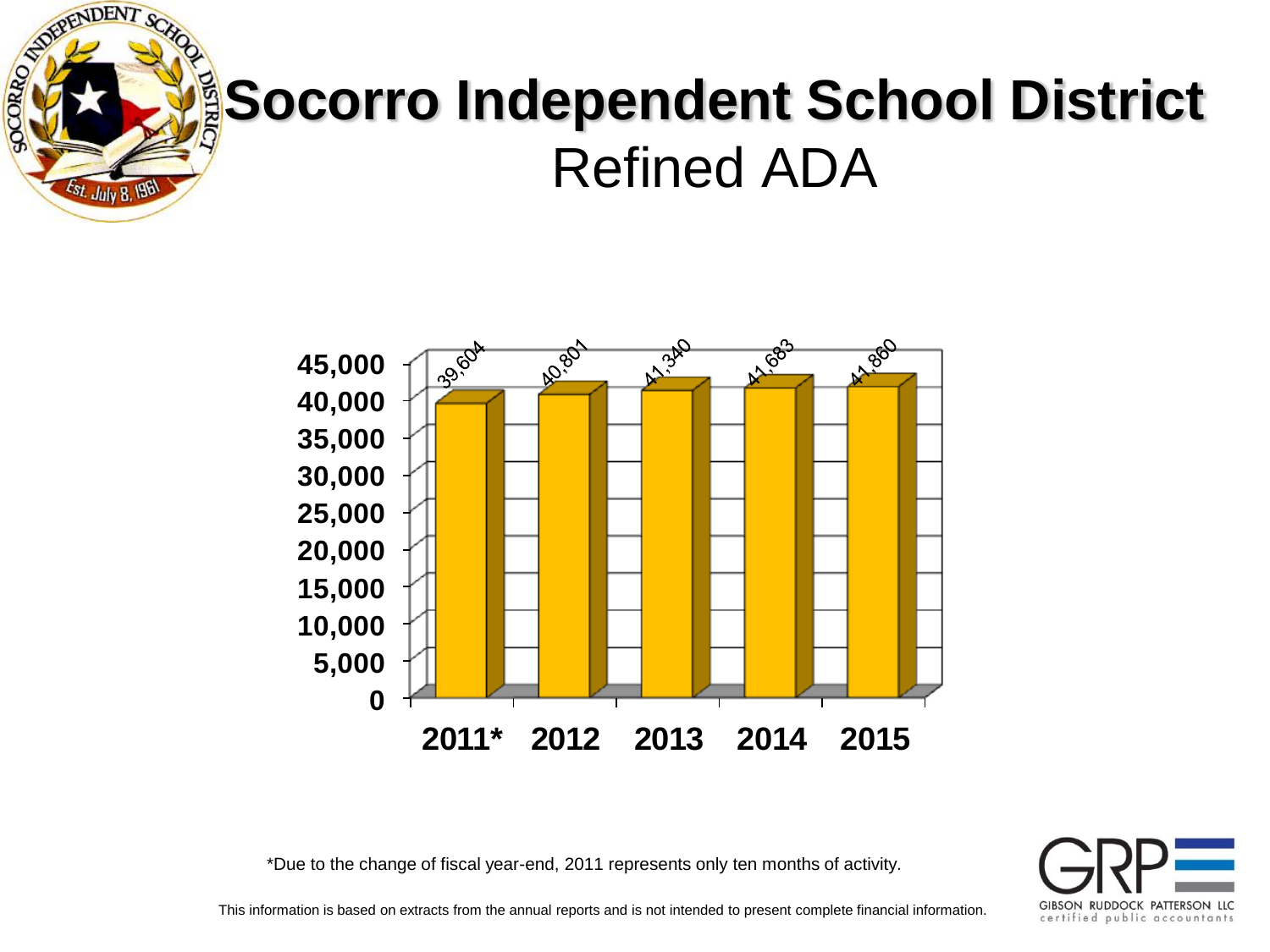

#### **Socorro Independent School District** Refined ADA



\*Due to the change of fiscal year-end, 2011 represents only ten months of activity.

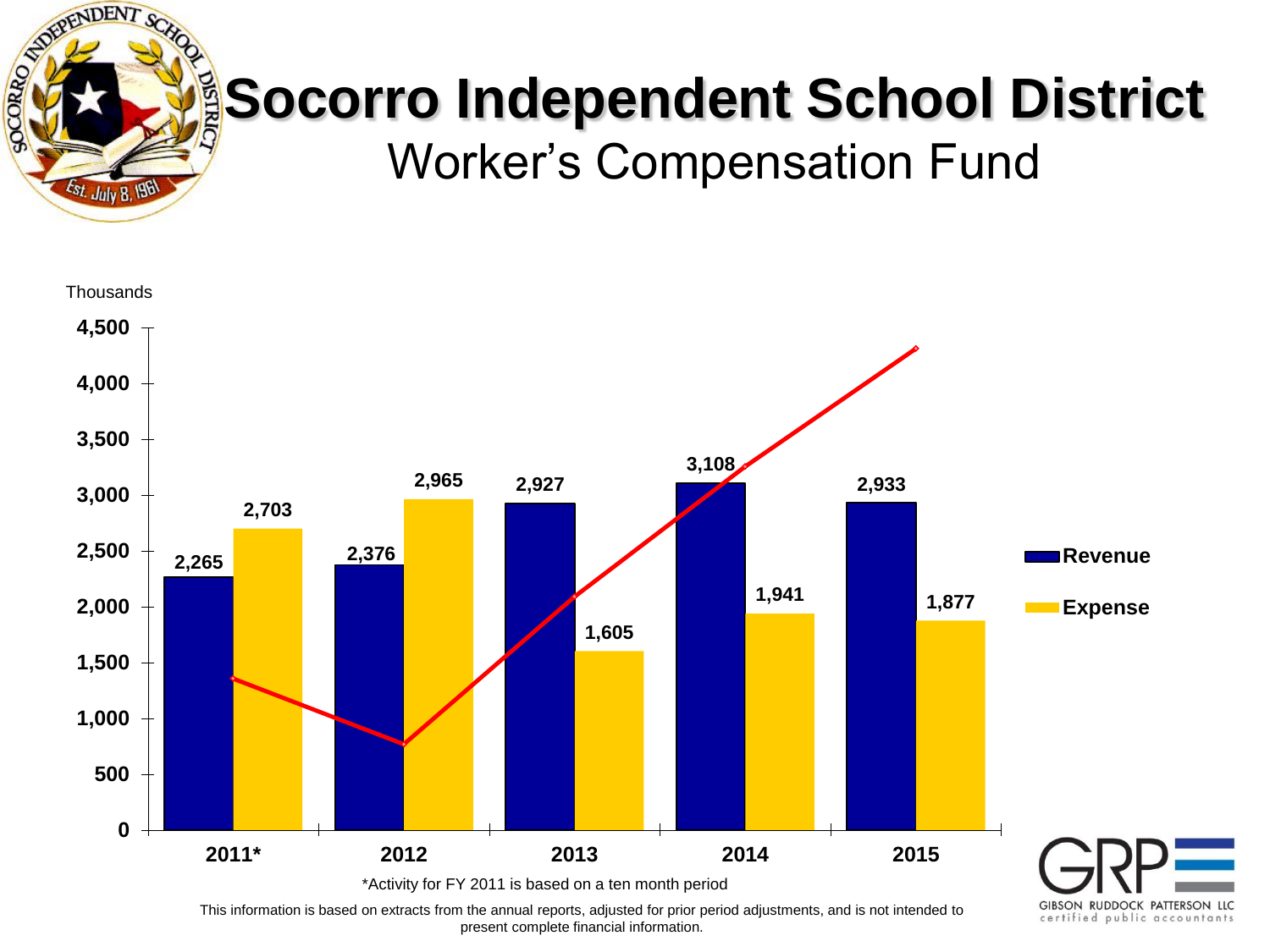

Worker's Compensation Fund



This information is based on extracts from the annual reports, adjusted for prior period adjustments, and is not intended to present complete financial information.

certified public accountants